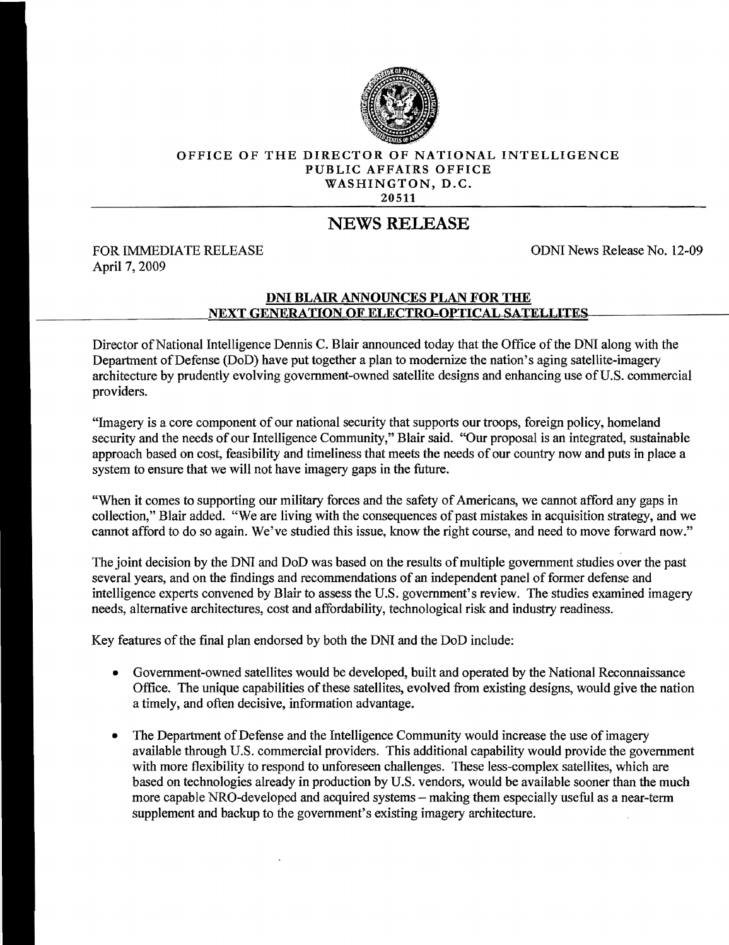

## OFFICE OF THE DIRECTOR OF NATIONAL INTELLIGENCE PUBLIC AFFAIRS OFFICE WASHINGTON, D.C. 20511

## NEWS RELEASE

FOR IMMEDIATE RELEASE **FOR IMMEDIATE RELEASE ODNI** News Release No. 12-09 April 7, 2009

## DNI BLAIR ANNOUNCES PLAN FOR THE NEXT GENERATION OF ELECTRO-OPTICAL SATELLITES

Director of National Intelligence Dennis C. Blair announced today that the Office of the DNI along with the Department of Defense (DoD) have put together a plan to modernize the nation's aging satellite-imagery architecture by prudently evolving government-owned satellite designs and enhancing use of U.S. commercial providers.

"Imagery is a core component of our national security that supports our troops, foreign policy, homeland security and the needs of our Intelligence Community," Blair said. "Our proposal is an integrated, sustainable approach based on cost, feasibility and timeliness that meets the needs of our country now and puts in place a system to ensure that we will not have imagery gaps in the future.

"When it comes to supporting our military forces and the safety of Americans, we cannot afford any gaps in collection," Blair added. "We are living with the consequences of past mistakes in acquisition strategy, and we cannot afford to do so again. We've studied this issue, know the right course, and need to move forward now."

The joint decision by the DNI and DoD was based on the results of multiple government studies over the past several years, and on the findings and recommendations of an independent panel of former defense and intelligence experts convened by Blair to assess the U.S. government's review. The studies examined imagery needs, alternative architectures, cost and affordability, technological risk and industry readiness.

Key features of the final plan endorsed by both the DNI and the DoD include:

- Government-owned satellites would be developed, built and operated by the National Reconnaissance Office. The unique capabilities ofthese satellites, evolved from existing designs, would give the nation a timely, and often decisive, information advantage.
- The Department of Defense and the Intelligence Community would increase the use of imagery available through U.S. commercial providers. This additional capability would provide the government with more flexibility to respond to unforeseen challenges. These less-complex satellites, which are based on technologies already in production by U.S. vendors, would be available sooner than the much more capable NRO-developed and acquired systems – making them especially useful as a near-term supplement and backup to the government's existing imagery architecture.